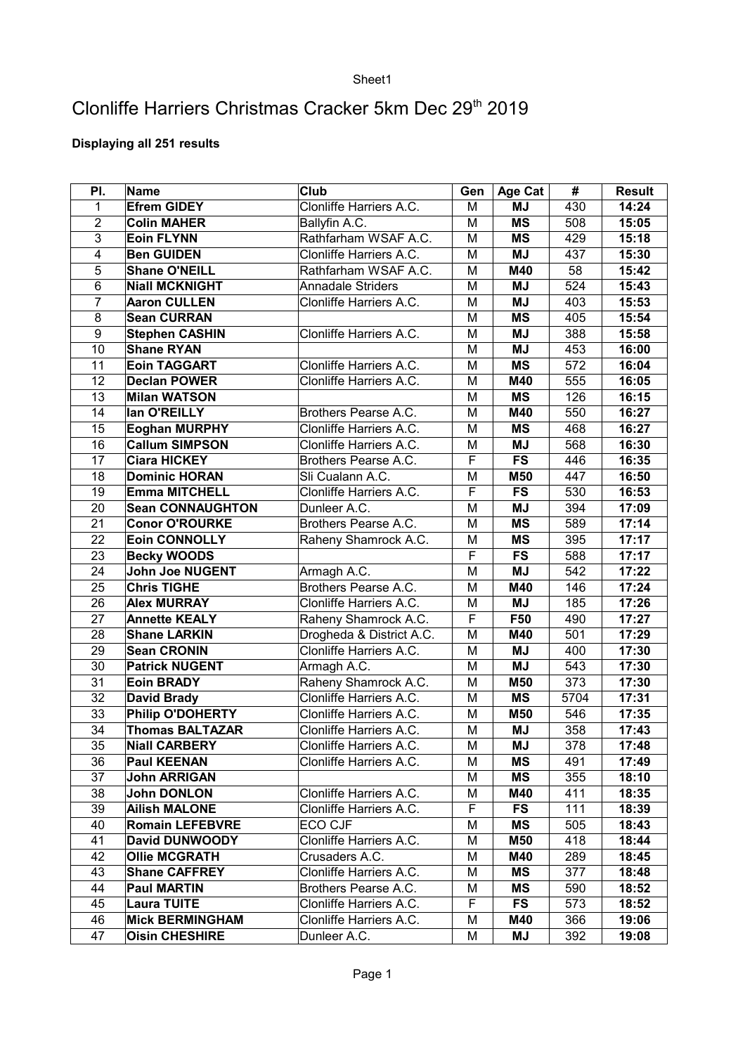## Sheet1

## Clonliffe Harriers Christmas Cracker 5km Dec 29<sup>th</sup> 2019

## **Displaying all 251 results**

| PI.             | Name                    | Club                     | Gen                     | <b>Age Cat</b> | #    | <b>Result</b> |
|-----------------|-------------------------|--------------------------|-------------------------|----------------|------|---------------|
| 1               | <b>Efrem GIDEY</b>      | Clonliffe Harriers A.C.  | M                       | <b>MJ</b>      | 430  | 14:24         |
| $\overline{2}$  | <b>Colin MAHER</b>      | Ballyfin A.C.            | M                       | <b>MS</b>      | 508  | 15:05         |
| 3               | <b>Eoin FLYNN</b>       | Rathfarham WSAF A.C.     | M                       | <b>MS</b>      | 429  | 15:18         |
| 4               | <b>Ben GUIDEN</b>       | Clonliffe Harriers A.C.  | M                       | <b>MJ</b>      | 437  | 15:30         |
| 5               | <b>Shane O'NEILL</b>    | Rathfarham WSAF A.C.     | М                       | M40            | 58   | 15:42         |
| $\overline{6}$  | <b>Niall MCKNIGHT</b>   | <b>Annadale Striders</b> | M                       | <b>MJ</b>      | 524  | 15:43         |
| $\overline{7}$  | <b>Aaron CULLEN</b>     | Clonliffe Harriers A.C.  | M                       | <b>MJ</b>      | 403  | 15:53         |
| 8               | <b>Sean CURRAN</b>      |                          | М                       | <b>MS</b>      | 405  | 15:54         |
| 9               | <b>Stephen CASHIN</b>   | Clonliffe Harriers A.C.  | M                       | <b>MJ</b>      | 388  | 15:58         |
| 10              | <b>Shane RYAN</b>       |                          | М                       | <b>MJ</b>      | 453  | 16:00         |
| 11              | <b>Eoin TAGGART</b>     | Clonliffe Harriers A.C.  | M                       | <b>MS</b>      | 572  | 16:04         |
| 12              | <b>Declan POWER</b>     | Clonliffe Harriers A.C.  | M                       | M40            | 555  | 16:05         |
| 13              | <b>Milan WATSON</b>     |                          | М                       | <b>MS</b>      | 126  | 16:15         |
| 14              | lan O'REILLY            | Brothers Pearse A.C.     | M                       | M40            | 550  | 16:27         |
| 15              | <b>Eoghan MURPHY</b>    | Clonliffe Harriers A.C.  | М                       | <b>MS</b>      | 468  | 16:27         |
| 16              | <b>Callum SIMPSON</b>   | Clonliffe Harriers A.C.  | M                       | MJ             | 568  | 16:30         |
| 17              | <b>Ciara HICKEY</b>     | Brothers Pearse A.C.     | F                       | <b>FS</b>      | 446  | 16:35         |
| 18              | <b>Dominic HORAN</b>    | Sli Cualann A.C.         | M                       | M50            | 447  | 16:50         |
| 19              | <b>Emma MITCHELL</b>    | Clonliffe Harriers A.C.  | F                       | <b>FS</b>      | 530  | 16:53         |
| 20              | <b>Sean CONNAUGHTON</b> | Dunleer A.C.             | M                       | <b>MJ</b>      | 394  | 17:09         |
| 21              | <b>Conor O'ROURKE</b>   | Brothers Pearse A.C.     | M                       | <b>MS</b>      | 589  | 17:14         |
| 22              | Eoin CONNOLLY           | Raheny Shamrock A.C.     | M                       | <b>MS</b>      | 395  | 17:17         |
| 23              | <b>Becky WOODS</b>      |                          | F                       | <b>FS</b>      | 588  | 17:17         |
| 24              | <b>John Joe NUGENT</b>  | Armagh A.C.              | M                       | <b>MJ</b>      | 542  | 17:22         |
| 25              | <b>Chris TIGHE</b>      | Brothers Pearse A.C.     | M                       | M40            | 146  | 17:24         |
| 26              | <b>Alex MURRAY</b>      | Clonliffe Harriers A.C.  | M                       | <b>MJ</b>      | 185  | 17:26         |
| 27              | <b>Annette KEALY</b>    | Raheny Shamrock A.C.     | F                       | F50            | 490  | 17:27         |
| 28              | <b>Shane LARKIN</b>     | Drogheda & District A.C. | M                       | M40            | 501  | 17:29         |
| 29              | <b>Sean CRONIN</b>      | Clonliffe Harriers A.C.  | M                       | <b>MJ</b>      | 400  | 17:30         |
| 30              | <b>Patrick NUGENT</b>   | Armagh A.C.              | M                       | <b>MJ</b>      | 543  | 17:30         |
| 31              | <b>Eoin BRADY</b>       | Raheny Shamrock A.C.     | M                       | M50            | 373  | 17:30         |
| 32              | <b>David Brady</b>      | Clonliffe Harriers A.C.  | M                       | <b>MS</b>      | 5704 | 17:31         |
| 33              | Philip O'DOHERTY        | Clonliffe Harriers A.C.  | M                       | M50            | 546  | 17:35         |
| 34              | <b>Thomas BALTAZAR</b>  | Clonliffe Harriers A.C.  | M                       | ΜJ             | 358  | 17:43         |
| $\overline{35}$ | <b>Niall CARBERY</b>    | Clonliffe Harriers A.C.  | $\overline{\mathsf{M}}$ | MJ             | 378  | 17:48         |
| 36              | <b>Paul KEENAN</b>      | Clonliffe Harriers A.C.  | М                       | ΜS             | 491  | 17:49         |
| 37              | John ARRIGAN            |                          | M                       | ΜS             | 355  | 18:10         |
| 38              | John DONLON             | Clonliffe Harriers A.C.  | Μ                       | M40            | 411  | 18:35         |
| 39              | <b>Ailish MALONE</b>    | Clonliffe Harriers A.C.  | F                       | <b>FS</b>      | 111  | 18:39         |
| 40              | <b>Romain LEFEBVRE</b>  | <b>ECO CJF</b>           | Μ                       | ΜS             | 505  | 18:43         |
| 41              | <b>David DUNWOODY</b>   | Clonliffe Harriers A.C.  | М                       | <b>M50</b>     | 418  | 18:44         |
| 42              | <b>Ollie MCGRATH</b>    | Crusaders A.C.           | Μ                       | M40            | 289  | 18:45         |
| 43              | <b>Shane CAFFREY</b>    | Clonliffe Harriers A.C.  | Μ                       | ΜS             | 377  | 18:48         |
| 44              | <b>Paul MARTIN</b>      | Brothers Pearse A.C.     | М                       | ΜS             | 590  | 18:52         |
| 45              | <b>Laura TUITE</b>      | Clonliffe Harriers A.C.  | F                       | <b>FS</b>      | 573  | 18:52         |
| 46              | <b>Mick BERMINGHAM</b>  | Clonliffe Harriers A.C.  | М                       | M40            | 366  | 19:06         |
| 47              | <b>Oisin CHESHIRE</b>   | Dunleer A.C.             | Μ                       | MJ             | 392  | 19:08         |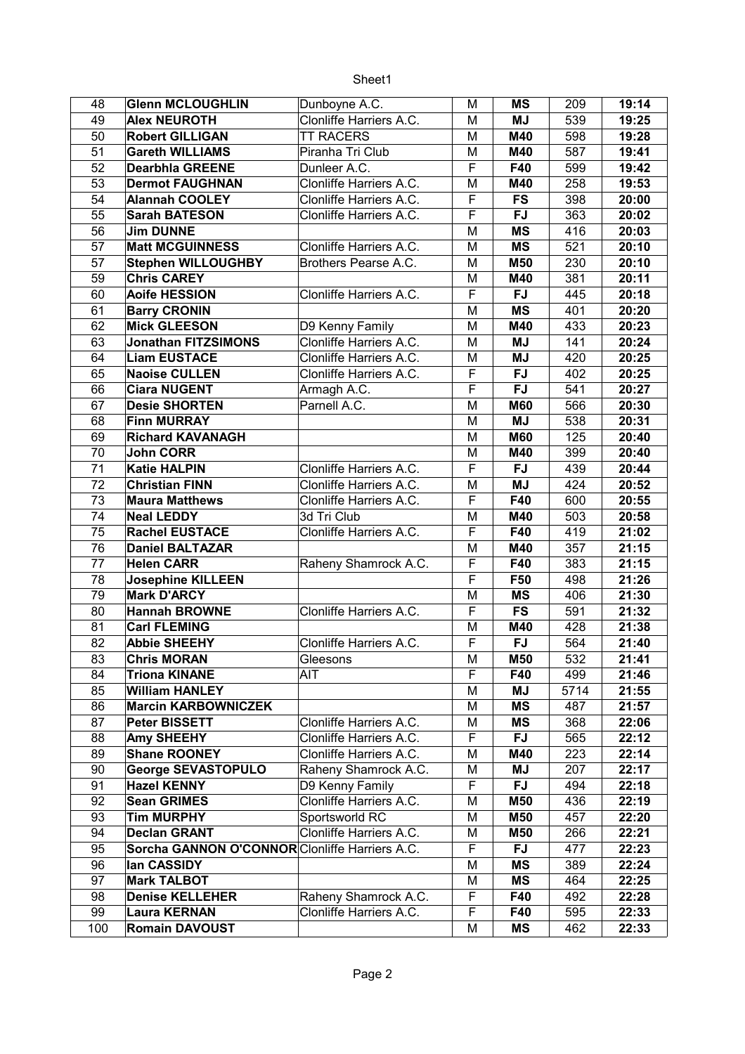Sheet1

| 48       | <b>Glenn MCLOUGHLIN</b>                        | Dunboyne A.C.           | М                       | <b>MS</b>         | 209        | 19:14          |
|----------|------------------------------------------------|-------------------------|-------------------------|-------------------|------------|----------------|
| 49       | <b>Alex NEUROTH</b>                            | Clonliffe Harriers A.C. | M                       | <b>MJ</b>         | 539        | 19:25          |
| 50       | <b>Robert GILLIGAN</b>                         | <b>TT RACERS</b>        | M                       | M40               | 598        | 19:28          |
| 51       | <b>Gareth WILLIAMS</b>                         | Piranha Tri Club        | М                       | M40               | 587        | 19:41          |
| 52       | <b>Dearbhla GREENE</b>                         | Dunleer A.C.            | F                       | F40               | 599        | 19:42          |
| 53       | <b>Dermot FAUGHNAN</b>                         | Clonliffe Harriers A.C. | M                       | M40               | 258        | 19:53          |
| 54       | <b>Alannah COOLEY</b>                          | Clonliffe Harriers A.C. | F                       | <b>FS</b>         | 398        | 20:00          |
| 55       | <b>Sarah BATESON</b>                           | Clonliffe Harriers A.C. | $\overline{\mathsf{F}}$ | <b>FJ</b>         | 363        | 20:02          |
| 56       | <b>Jim DUNNE</b>                               |                         | M                       | <b>MS</b>         | 416        | 20:03          |
| 57       | <b>Matt MCGUINNESS</b>                         | Clonliffe Harriers A.C. | M                       | <b>MS</b>         | 521        | 20:10          |
| 57       | <b>Stephen WILLOUGHBY</b>                      | Brothers Pearse A.C.    | M                       | M50               | 230        | 20:10          |
| 59       | <b>Chris CAREY</b>                             |                         | M                       | M40               | 381        | 20:11          |
| 60       | <b>Aoife HESSION</b>                           | Clonliffe Harriers A.C. | F                       | <b>FJ</b>         | 445        | 20:18          |
| 61       | <b>Barry CRONIN</b>                            |                         | M                       | <b>MS</b>         | 401        | 20:20          |
| 62       | <b>Mick GLEESON</b>                            | D9 Kenny Family         | М                       | M40               | 433        | 20:23          |
| 63       | <b>Jonathan FITZSIMONS</b>                     | Clonliffe Harriers A.C. | М                       | <b>MJ</b>         | 141        | 20:24          |
| 64       | <b>Liam EUSTACE</b>                            | Clonliffe Harriers A.C. | М                       | <b>MJ</b>         | 420        | 20:25          |
| 65       | <b>Naoise CULLEN</b>                           | Clonliffe Harriers A.C. | F                       | <b>FJ</b>         | 402        | 20:25          |
| 66       | <b>Ciara NUGENT</b>                            | Armagh A.C.             | F                       | <b>FJ</b>         | 541        | 20:27          |
| 67       | <b>Desie SHORTEN</b>                           | Parnell A.C.            | M                       | <b>M60</b>        | 566        | 20:30          |
| 68       | <b>Finn MURRAY</b>                             |                         | M                       | <b>MJ</b>         | 538        | 20:31          |
| 69       | <b>Richard KAVANAGH</b>                        |                         | M                       | <b>M60</b>        | 125        | 20:40          |
| 70       | <b>John CORR</b>                               |                         | M                       | M40               | 399        | 20:40          |
| 71       | <b>Katie HALPIN</b>                            | Clonliffe Harriers A.C. | F                       | <b>FJ</b>         | 439        | 20:44          |
| 72       | <b>Christian FINN</b>                          | Clonliffe Harriers A.C. | Μ                       | <b>MJ</b>         | 424        | 20:52          |
| 73       | <b>Maura Matthews</b>                          | Clonliffe Harriers A.C. | F                       | F40               | 600        | 20:55          |
| 74       | <b>Neal LEDDY</b>                              | 3d Tri Club             | M                       | M40               | 503        | 20:58          |
| 75       | <b>Rachel EUSTACE</b>                          | Clonliffe Harriers A.C. | F                       | F40               | 419        | 21:02          |
| 76       | <b>Daniel BALTAZAR</b>                         |                         | Μ                       | M40               | 357        | 21:15          |
| 77       | <b>Helen CARR</b>                              | Raheny Shamrock A.C.    | F                       | F40               | 383        | 21:15          |
| 78       | <b>Josephine KILLEEN</b>                       |                         | F                       | F50               | 498        | 21:26          |
| 79       | <b>Mark D'ARCY</b>                             |                         | M                       | <b>MS</b>         | 406        | 21:30          |
| 80       | <b>Hannah BROWNE</b>                           | Clonliffe Harriers A.C. | F                       | <b>FS</b>         | 591        | 21:32          |
| 81       | <b>Carl FLEMING</b>                            |                         |                         | M40               | 428        |                |
| 82       |                                                |                         | M<br>F                  | <b>FJ</b>         | 564        | 21:38          |
|          | <b>Abbie SHEEHY</b>                            | Clonliffe Harriers A.C. |                         |                   |            | 21:40          |
| 83<br>84 | Chris MORAN<br><b>Triona KINANE</b>            | Gleesons<br>AIT         | М<br>F                  | <b>M50</b><br>F40 | 532<br>499 | 21:41<br>21:46 |
| 85       | <b>William HANLEY</b>                          |                         |                         | <b>MJ</b>         | 5714       | 21:55          |
| 86       | <b>Marcin KARBOWNICZEK</b>                     |                         | Μ<br>M                  | <b>MS</b>         | 487        | 21:57          |
| 87       | <b>Peter BISSETT</b>                           | Clonliffe Harriers A.C. | Μ                       | <b>MS</b>         | 368        | 22:06          |
| 88       | <b>Amy SHEEHY</b>                              | Clonliffe Harriers A.C. | F                       | <b>FJ</b>         | 565        | 22:12          |
| 89       | <b>Shane ROONEY</b>                            | Clonliffe Harriers A.C. | M                       | M40               | 223        | 22:14          |
| 90       | <b>George SEVASTOPULO</b>                      | Raheny Shamrock A.C.    | М                       | <b>MJ</b>         | 207        | 22:17          |
| 91       | <b>Hazel KENNY</b>                             | D9 Kenny Family         | F                       | <b>FJ</b>         | 494        | 22:18          |
| 92       | <b>Sean GRIMES</b>                             | Clonliffe Harriers A.C. | Μ                       | M50               | 436        | 22:19          |
| 93       | <b>Tim MURPHY</b>                              | Sportsworld RC          |                         | <b>M50</b>        | 457        |                |
| 94       | <b>Declan GRANT</b>                            | Clonliffe Harriers A.C. | М<br>M                  | M50               |            | 22:20          |
|          |                                                |                         | F                       | <b>FJ</b>         | 266        | 22:21          |
| 95       | Sorcha GANNON O'CONNOR Clonliffe Harriers A.C. |                         |                         |                   | 477        | 22:23          |
| 96       | lan CASSIDY                                    |                         | Μ                       | <b>MS</b>         | 389        | 22:24          |
| 97       | <b>Mark TALBOT</b>                             |                         | M                       | ΜS                | 464        | 22:25          |
| 98       | <b>Denise KELLEHER</b>                         | Raheny Shamrock A.C.    | F                       | F40               | 492        | 22:28          |
| 99       | <b>Laura KERNAN</b>                            | Clonliffe Harriers A.C. | F                       | F40               | 595        | 22:33          |
| 100      | <b>Romain DAVOUST</b>                          |                         | M                       | <b>MS</b>         | 462        | 22:33          |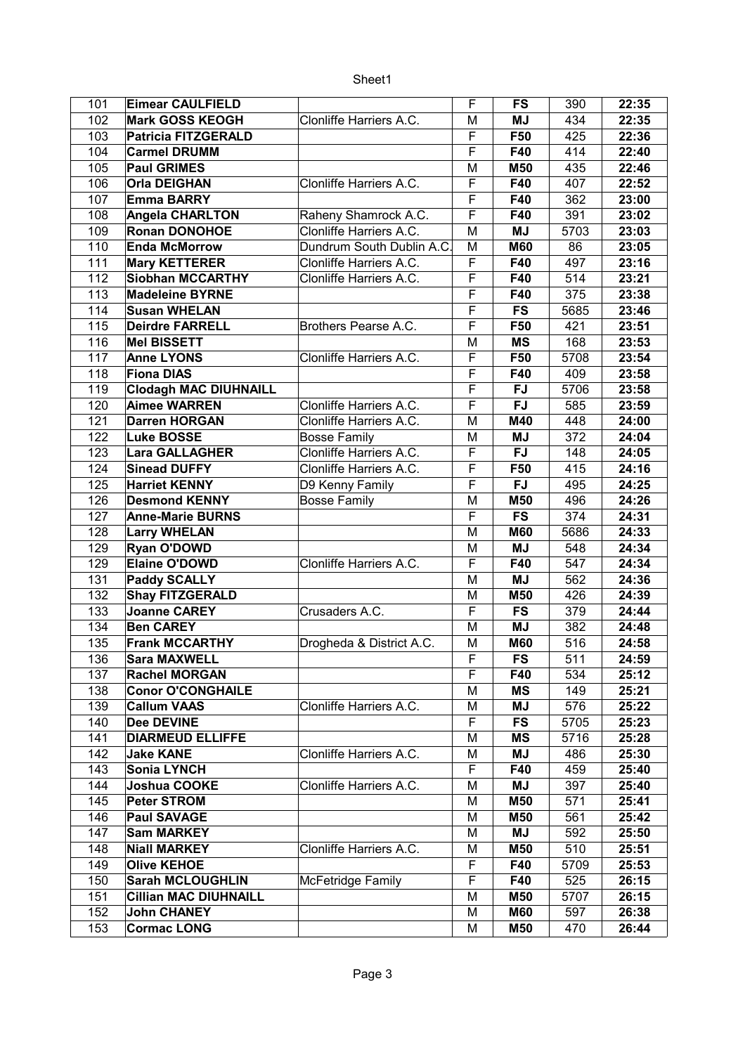| 101 | <b>Eimear CAULFIELD</b>      |                          | F              | FS         | 390  | 22:35 |
|-----|------------------------------|--------------------------|----------------|------------|------|-------|
| 102 | <b>Mark GOSS KEOGH</b>       | Clonliffe Harriers A.C.  | М              | <b>MJ</b>  | 434  | 22:35 |
| 103 | <b>Patricia FITZGERALD</b>   |                          | F              | F50        | 425  | 22:36 |
| 104 | <b>Carmel DRUMM</b>          |                          | F              | F40        | 414  | 22:40 |
| 105 | <b>Paul GRIMES</b>           |                          | М              | <b>M50</b> | 435  | 22:46 |
| 106 | <b>Orla DEIGHAN</b>          | Clonliffe Harriers A.C.  | F              | F40        | 407  | 22:52 |
| 107 | <b>Emma BARRY</b>            |                          | F              | F40        | 362  | 23:00 |
| 108 | <b>Angela CHARLTON</b>       | Raheny Shamrock A.C.     | F              | F40        | 391  | 23:02 |
| 109 | <b>Ronan DONOHOE</b>         | Clonliffe Harriers A.C.  | M              | <b>MJ</b>  | 5703 | 23:03 |
| 110 | <b>Enda McMorrow</b>         | Dundrum South Dublin A.C | M              | <b>M60</b> | 86   | 23:05 |
| 111 | <b>Mary KETTERER</b>         | Clonliffe Harriers A.C.  | F              | F40        | 497  | 23:16 |
| 112 | <b>Siobhan MCCARTHY</b>      | Clonliffe Harriers A.C.  | F              | F40        | 514  | 23:21 |
| 113 | <b>Madeleine BYRNE</b>       |                          | F              | F40        |      |       |
|     |                              |                          |                |            | 375  | 23:38 |
| 114 | <b>Susan WHELAN</b>          |                          | F              | <b>FS</b>  | 5685 | 23:46 |
| 115 | <b>Deirdre FARRELL</b>       | Brothers Pearse A.C.     | F              | F50        | 421  | 23:51 |
| 116 | <b>Mel BISSETT</b>           |                          | M              | <b>MS</b>  | 168  | 23:53 |
| 117 | <b>Anne LYONS</b>            | Clonliffe Harriers A.C.  | F              | F50        | 5708 | 23:54 |
| 118 | <b>Fiona DIAS</b>            |                          | F              | F40        | 409  | 23:58 |
| 119 | <b>Clodagh MAC DIUHNAILL</b> |                          | F              | <b>FJ</b>  | 5706 | 23:58 |
| 120 | <b>Aimee WARREN</b>          | Clonliffe Harriers A.C.  | F              | <b>FJ</b>  | 585  | 23:59 |
| 121 | <b>Darren HORGAN</b>         | Clonliffe Harriers A.C.  | М              | M40        | 448  | 24:00 |
| 122 | <b>Luke BOSSE</b>            | <b>Bosse Family</b>      | М              | <b>MJ</b>  | 372  | 24:04 |
| 123 | <b>Lara GALLAGHER</b>        | Clonliffe Harriers A.C.  | F              | <b>FJ</b>  | 148  | 24:05 |
| 124 | <b>Sinead DUFFY</b>          | Clonliffe Harriers A.C.  | $\overline{F}$ | F50        | 415  | 24:16 |
| 125 | <b>Harriet KENNY</b>         | D9 Kenny Family          | $\overline{F}$ | <b>FJ</b>  | 495  | 24:25 |
| 126 | <b>Desmond KENNY</b>         | <b>Bosse Family</b>      | M              | <b>M50</b> | 496  | 24:26 |
| 127 | <b>Anne-Marie BURNS</b>      |                          | F              | <b>FS</b>  | 374  | 24:31 |
| 128 | <b>Larry WHELAN</b>          |                          | М              | <b>M60</b> | 5686 | 24:33 |
| 129 | <b>Ryan O'DOWD</b>           |                          | M              | <b>MJ</b>  | 548  | 24:34 |
| 129 | <b>Elaine O'DOWD</b>         | Clonliffe Harriers A.C.  | F              | F40        | 547  | 24:34 |
| 131 | <b>Paddy SCALLY</b>          |                          | M              | <b>MJ</b>  | 562  | 24:36 |
| 132 | <b>Shay FITZGERALD</b>       |                          | М              | M50        | 426  | 24:39 |
| 133 | <b>Joanne CAREY</b>          | Crusaders A.C.           | F              | <b>FS</b>  | 379  | 24:44 |
| 134 | <b>Ben CAREY</b>             |                          | M              | <b>MJ</b>  | 382  | 24:48 |
| 135 | <b>Frank MCCARTHY</b>        | Drogheda & District A.C. | М              | <b>M60</b> | 516  | 24:58 |
| 136 | Sara MAXWELL                 |                          | F              | FS         | 511  | 24:59 |
| 137 | <b>Rachel MORGAN</b>         |                          | F              | F40        | 534  | 25:12 |
| 138 | <b>Conor O'CONGHAILE</b>     |                          | M              | <b>MS</b>  | 149  | 25:21 |
| 139 | <b>Callum VAAS</b>           | Clonliffe Harriers A.C.  | Μ              | MJ         | 576  | 25:22 |
| 140 | <b>Dee DEVINE</b>            |                          | F              | <b>FS</b>  | 5705 | 25:23 |
| 141 | <b>DIARMEUD ELLIFFE</b>      |                          | M              | <b>MS</b>  | 5716 | 25:28 |
| 142 | <b>Jake KANE</b>             | Clonliffe Harriers A.C.  | M              | MJ         | 486  | 25:30 |
| 143 | <b>Sonia LYNCH</b>           |                          | F              | F40        | 459  | 25:40 |
|     |                              |                          |                |            |      |       |
| 144 | Joshua COOKE                 | Clonliffe Harriers A.C.  | M              | <b>MJ</b>  | 397  | 25:40 |
| 145 | <b>Peter STROM</b>           |                          | М              | M50        | 571  | 25:41 |
| 146 | <b>Paul SAVAGE</b>           |                          | M              | <b>M50</b> | 561  | 25:42 |
| 147 | <b>Sam MARKEY</b>            |                          | M              | MJ         | 592  | 25:50 |
| 148 | <b>Niall MARKEY</b>          | Clonliffe Harriers A.C.  | Μ              | <b>M50</b> | 510  | 25:51 |
| 149 | <b>Olive KEHOE</b>           |                          | F              | F40        | 5709 | 25:53 |
| 150 | <b>Sarah MCLOUGHLIN</b>      | McFetridge Family        | F              | F40        | 525  | 26:15 |
| 151 | <b>Cillian MAC DIUHNAILL</b> |                          | M              | M50        | 5707 | 26:15 |
| 152 | <b>John CHANEY</b>           |                          | M              | <b>M60</b> | 597  | 26:38 |
| 153 | <b>Cormac LONG</b>           |                          | M              | <b>M50</b> | 470  | 26:44 |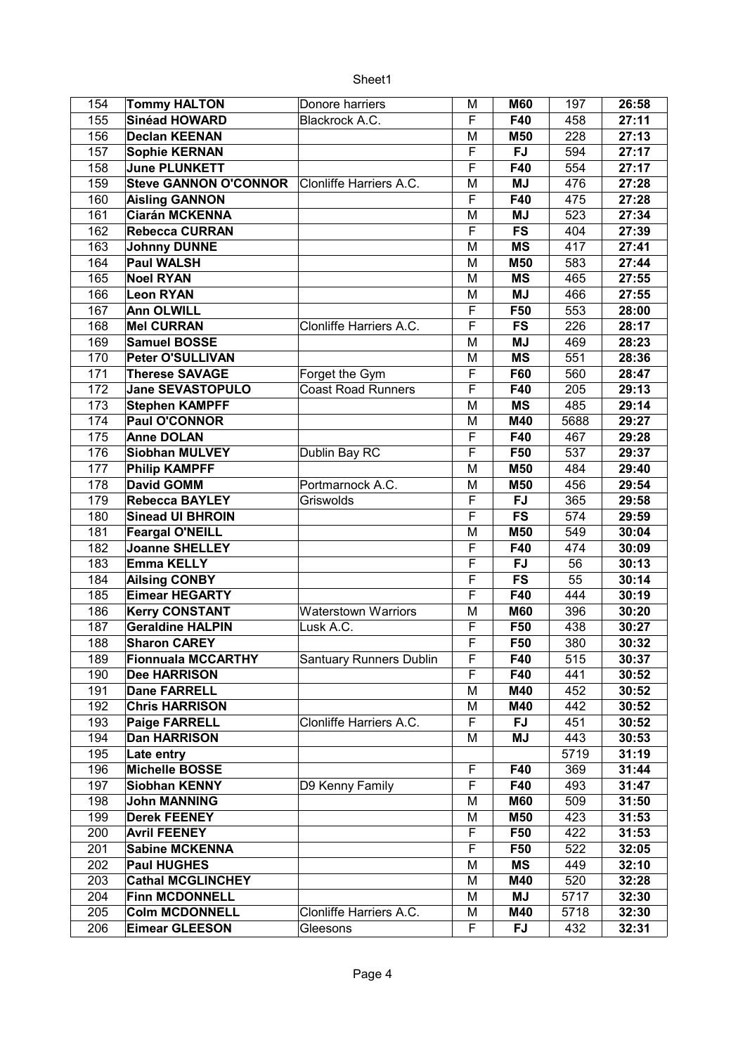## Sheet1

| 154 | <b>Tommy HALTON</b>          | Donore harriers                | М | <b>M60</b>       | 197  | 26:58 |
|-----|------------------------------|--------------------------------|---|------------------|------|-------|
| 155 | Sinéad HOWARD                | Blackrock A.C.                 | F | F40              | 458  | 27:11 |
| 156 | <b>Declan KEENAN</b>         |                                | M | M50              | 228  | 27:13 |
| 157 | <b>Sophie KERNAN</b>         |                                | F | <b>FJ</b>        | 594  | 27:17 |
| 158 | <b>June PLUNKETT</b>         |                                | F | F40              | 554  | 27:17 |
| 159 | <b>Steve GANNON O'CONNOR</b> | Clonliffe Harriers A.C.        | M | <b>MJ</b>        | 476  | 27:28 |
| 160 | <b>Aisling GANNON</b>        |                                | F | F40              | 475  | 27:28 |
| 161 | <b>Ciarán MCKENNA</b>        |                                | М | <b>MJ</b>        | 523  | 27:34 |
| 162 | <b>Rebecca CURRAN</b>        |                                | F | <b>FS</b>        | 404  | 27:39 |
| 163 | <b>Johnny DUNNE</b>          |                                | M | <b>MS</b>        | 417  | 27:41 |
| 164 | <b>Paul WALSH</b>            |                                | M | M50              | 583  | 27:44 |
| 165 | <b>Noel RYAN</b>             |                                | M | <b>MS</b>        | 465  | 27:55 |
| 166 | <b>Leon RYAN</b>             |                                | М | <b>MJ</b>        | 466  | 27:55 |
| 167 | <b>Ann OLWILL</b>            |                                | F | F50              | 553  | 28:00 |
| 168 | <b>Mel CURRAN</b>            | Clonliffe Harriers A.C.        | F | <b>FS</b>        | 226  | 28:17 |
| 169 | <b>Samuel BOSSE</b>          |                                | М | <b>MJ</b>        | 469  | 28:23 |
| 170 | Peter O'SULLIVAN             |                                | M | <b>MS</b>        | 551  | 28:36 |
| 171 | <b>Therese SAVAGE</b>        | Forget the Gym                 | F | F60              | 560  | 28:47 |
| 172 | <b>Jane SEVASTOPULO</b>      | <b>Coast Road Runners</b>      | F | F40              | 205  | 29:13 |
| 173 | <b>Stephen KAMPFF</b>        |                                | M | <b>MS</b>        | 485  | 29:14 |
| 174 | <b>Paul O'CONNOR</b>         |                                |   |                  |      |       |
|     |                              |                                | М | M40              | 5688 | 29:27 |
| 175 | <b>Anne DOLAN</b>            |                                | F | F40              | 467  | 29:28 |
| 176 | <b>Siobhan MULVEY</b>        | Dublin Bay RC                  | F | F50              | 537  | 29:37 |
| 177 | <b>Philip KAMPFF</b>         |                                | M | M50              | 484  | 29:40 |
| 178 | <b>David GOMM</b>            | Portmarnock A.C.               | М | M50              | 456  | 29:54 |
| 179 | <b>Rebecca BAYLEY</b>        | Griswolds                      | F | FJ               | 365  | 29:58 |
| 180 | <b>Sinead UI BHROIN</b>      |                                | F | <b>FS</b>        | 574  | 29:59 |
| 181 | <b>Feargal O'NEILL</b>       |                                | M | M50              | 549  | 30:04 |
| 182 | <b>Joanne SHELLEY</b>        |                                | F | F40              | 474  | 30:09 |
| 183 | <b>Emma KELLY</b>            |                                | F | <b>FJ</b>        | 56   | 30:13 |
| 184 | <b>Ailsing CONBY</b>         |                                | F | <b>FS</b>        | 55   | 30:14 |
| 185 | <b>Eimear HEGARTY</b>        |                                | F | F40              | 444  | 30:19 |
| 186 | <b>Kerry CONSTANT</b>        | <b>Waterstown Warriors</b>     | M | <b>M60</b>       | 396  | 30:20 |
| 187 | <b>Geraldine HALPIN</b>      | Lusk A.C.                      | F | F50              | 438  | 30:27 |
| 188 | <b>Sharon CAREY</b>          |                                | F | F50              | 380  | 30:32 |
| 189 | <b>Fionnuala MCCARTHY</b>    | <b>Santuary Runners Dublin</b> | F | F40              | 515  | 30:37 |
| 190 | <b>Dee HARRISON</b>          |                                | F | F40              | 441  | 30:52 |
| 191 | <b>Dane FARRELL</b>          |                                | Μ | M40              | 452  | 30:52 |
| 192 | <b>Chris HARRISON</b>        |                                | М | M40              | 442  | 30:52 |
| 193 | <b>Paige FARRELL</b>         | Clonliffe Harriers A.C.        | F | FJ               | 451  | 30:52 |
| 194 | <b>Dan HARRISON</b>          |                                | M | ΜJ               | 443  | 30:53 |
| 195 | Late entry                   |                                |   |                  | 5719 | 31:19 |
| 196 | <b>Michelle BOSSE</b>        |                                | F | F40              | 369  | 31:44 |
| 197 | Siobhan KENNY                | D9 Kenny Family                | F | F40              | 493  | 31:47 |
| 198 | <b>John MANNING</b>          |                                | М | <b>M60</b>       | 509  | 31:50 |
| 199 | <b>Derek FEENEY</b>          |                                | Μ | M50              | 423  | 31:53 |
| 200 | <b>Avril FEENEY</b>          |                                | F | F50              | 422  | 31:53 |
| 201 | <b>Sabine MCKENNA</b>        |                                | F |                  | 522  |       |
| 202 | <b>Paul HUGHES</b>           |                                |   | F50<br><b>MS</b> |      | 32:05 |
|     |                              |                                | Μ |                  | 449  | 32:10 |
| 203 | <b>Cathal MCGLINCHEY</b>     |                                | M | M40              | 520  | 32:28 |
| 204 | <b>Finn MCDONNELL</b>        |                                | Μ | <b>MJ</b>        | 5717 | 32:30 |
| 205 | <b>Colm MCDONNELL</b>        | Clonliffe Harriers A.C.        | Μ | M40              | 5718 | 32:30 |
| 206 | <b>Eimear GLEESON</b>        | Gleesons                       | F | <b>FJ</b>        | 432  | 32:31 |